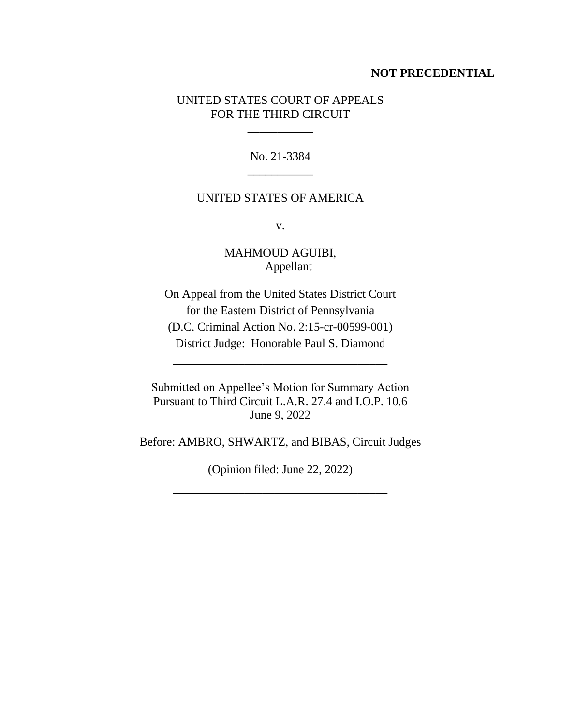#### **NOT PRECEDENTIAL**

### UNITED STATES COURT OF APPEALS FOR THE THIRD CIRCUIT

\_\_\_\_\_\_\_\_\_\_\_

No. 21-3384 \_\_\_\_\_\_\_\_\_\_\_

# UNITED STATES OF AMERICA

v.

MAHMOUD AGUIBI, Appellant

On Appeal from the United States District Court for the Eastern District of Pennsylvania (D.C. Criminal Action No. 2:15-cr-00599-001) District Judge: Honorable Paul S. Diamond

\_\_\_\_\_\_\_\_\_\_\_\_\_\_\_\_\_\_\_\_\_\_\_\_\_\_\_\_\_\_\_\_\_\_\_\_

Submitted on Appellee's Motion for Summary Action Pursuant to Third Circuit L.A.R. 27.4 and I.O.P. 10.6 June 9, 2022

Before: AMBRO, SHWARTZ, and BIBAS, Circuit Judges

(Opinion filed: June 22, 2022)

\_\_\_\_\_\_\_\_\_\_\_\_\_\_\_\_\_\_\_\_\_\_\_\_\_\_\_\_\_\_\_\_\_\_\_\_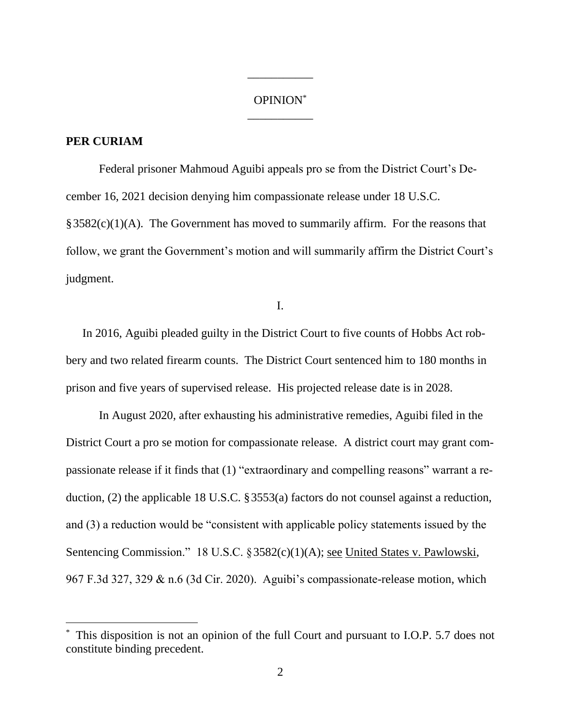## OPINION\* \_\_\_\_\_\_\_\_\_\_\_

\_\_\_\_\_\_\_\_\_\_\_

### **PER CURIAM**

Federal prisoner Mahmoud Aguibi appeals pro se from the District Court's December 16, 2021 decision denying him compassionate release under 18 U.S.C.  $§3582(c)(1)(A)$ . The Government has moved to summarily affirm. For the reasons that follow, we grant the Government's motion and will summarily affirm the District Court's judgment.

I.

In 2016, Aguibi pleaded guilty in the District Court to five counts of Hobbs Act robbery and two related firearm counts. The District Court sentenced him to 180 months in prison and five years of supervised release. His projected release date is in 2028.

In August 2020, after exhausting his administrative remedies, Aguibi filed in the District Court a pro se motion for compassionate release. A district court may grant compassionate release if it finds that (1) "extraordinary and compelling reasons" warrant a reduction, (2) the applicable 18 U.S.C. §3553(a) factors do not counsel against a reduction, and (3) a reduction would be "consistent with applicable policy statements issued by the Sentencing Commission." 18 U.S.C. §3582(c)(1)(A); <u>see United States v. Pawlowski</u>, 967 F.3d 327, 329 & n.6 (3d Cir. 2020). Aguibi's compassionate-release motion, which

This disposition is not an opinion of the full Court and pursuant to I.O.P. 5.7 does not constitute binding precedent.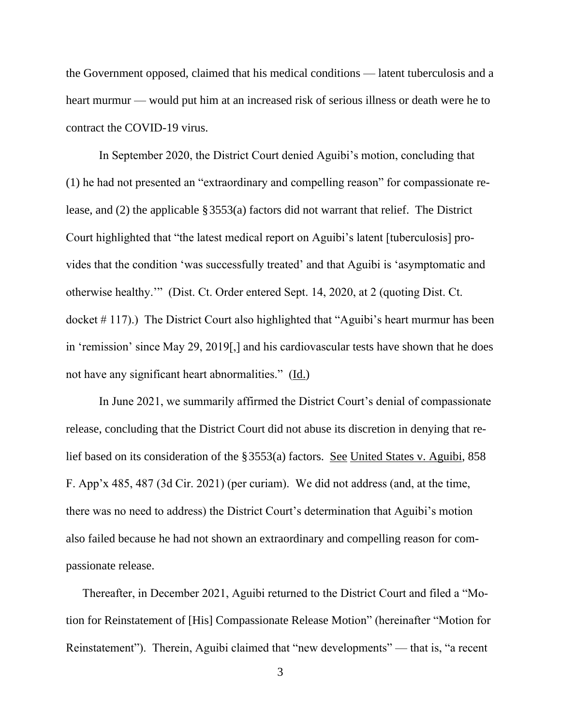the Government opposed, claimed that his medical conditions — latent tuberculosis and a heart murmur — would put him at an increased risk of serious illness or death were he to contract the COVID-19 virus.

In September 2020, the District Court denied Aguibi's motion, concluding that (1) he had not presented an "extraordinary and compelling reason" for compassionate release, and (2) the applicable §3553(a) factors did not warrant that relief. The District Court highlighted that "the latest medical report on Aguibi's latent [tuberculosis] provides that the condition 'was successfully treated' and that Aguibi is 'asymptomatic and otherwise healthy.'" (Dist. Ct. Order entered Sept. 14, 2020, at 2 (quoting Dist. Ct. docket # 117).) The District Court also highlighted that "Aguibi's heart murmur has been in 'remission' since May 29, 2019[,] and his cardiovascular tests have shown that he does not have any significant heart abnormalities." (Id.)

In June 2021, we summarily affirmed the District Court's denial of compassionate release, concluding that the District Court did not abuse its discretion in denying that relief based on its consideration of the §3553(a) factors. See United States v. Aguibi, 858 F. App'x 485, 487 (3d Cir. 2021) (per curiam). We did not address (and, at the time, there was no need to address) the District Court's determination that Aguibi's motion also failed because he had not shown an extraordinary and compelling reason for compassionate release.

Thereafter, in December 2021, Aguibi returned to the District Court and filed a "Motion for Reinstatement of [His] Compassionate Release Motion" (hereinafter "Motion for Reinstatement"). Therein, Aguibi claimed that "new developments" — that is, "a recent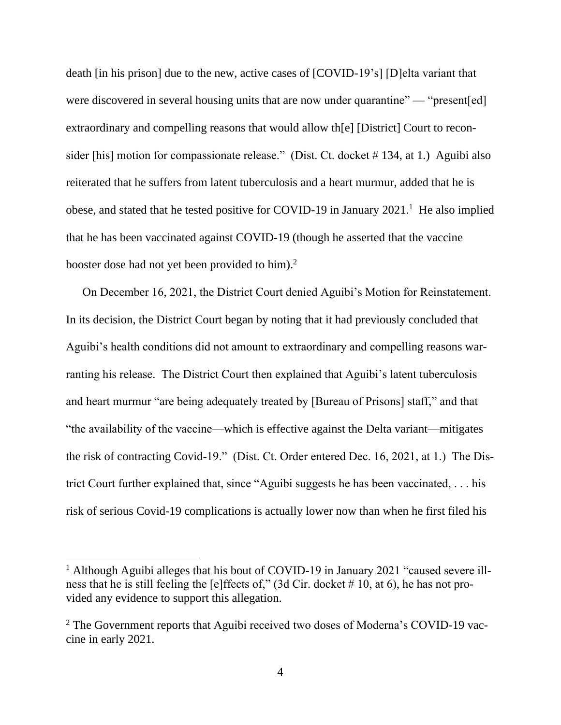death [in his prison] due to the new, active cases of [COVID-19's] [D]elta variant that were discovered in several housing units that are now under quarantine" — "present[ed] extraordinary and compelling reasons that would allow th[e] [District] Court to reconsider [his] motion for compassionate release." (Dist. Ct. docket # 134, at 1.) Aguibi also reiterated that he suffers from latent tuberculosis and a heart murmur, added that he is obese, and stated that he tested positive for COVID-19 in January  $2021$ .<sup>1</sup> He also implied that he has been vaccinated against COVID-19 (though he asserted that the vaccine booster dose had not yet been provided to him).<sup>2</sup>

On December 16, 2021, the District Court denied Aguibi's Motion for Reinstatement. In its decision, the District Court began by noting that it had previously concluded that Aguibi's health conditions did not amount to extraordinary and compelling reasons warranting his release. The District Court then explained that Aguibi's latent tuberculosis and heart murmur "are being adequately treated by [Bureau of Prisons] staff," and that "the availability of the vaccine—which is effective against the Delta variant—mitigates the risk of contracting Covid-19." (Dist. Ct. Order entered Dec. 16, 2021, at 1.) The District Court further explained that, since "Aguibi suggests he has been vaccinated, . . . his risk of serious Covid-19 complications is actually lower now than when he first filed his

<sup>&</sup>lt;sup>1</sup> Although Aguibi alleges that his bout of COVID-19 in January 2021 "caused severe illness that he is still feeling the [e]ffects of," (3d Cir. docket # 10, at 6), he has not provided any evidence to support this allegation.

<sup>&</sup>lt;sup>2</sup> The Government reports that Aguibi received two doses of Moderna's COVID-19 vaccine in early 2021.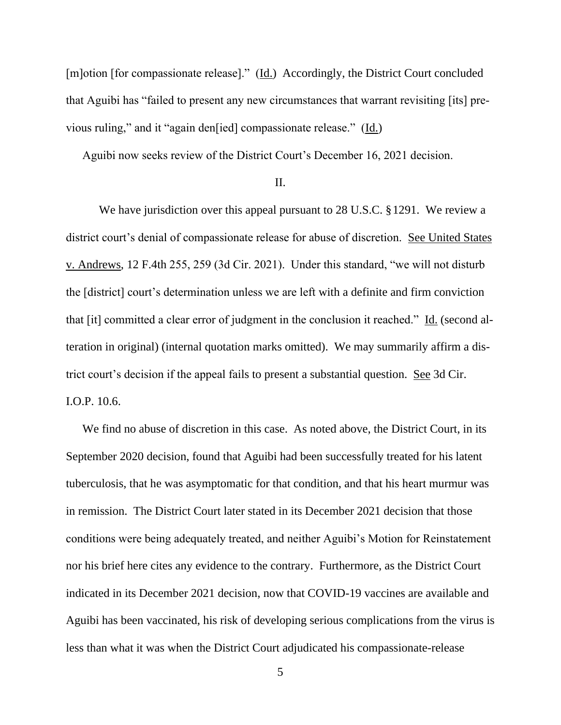[m]otion [for compassionate release]." (Id.) Accordingly, the District Court concluded that Aguibi has "failed to present any new circumstances that warrant revisiting [its] previous ruling," and it "again den[ied] compassionate release." (Id.)

Aguibi now seeks review of the District Court's December 16, 2021 decision.

II.

We have jurisdiction over this appeal pursuant to 28 U.S.C. §1291. We review a district court's denial of compassionate release for abuse of discretion. See United States v. Andrews, 12 F.4th 255, 259 (3d Cir. 2021). Under this standard, "we will not disturb the [district] court's determination unless we are left with a definite and firm conviction that [it] committed a clear error of judgment in the conclusion it reached." Id. (second alteration in original) (internal quotation marks omitted). We may summarily affirm a district court's decision if the appeal fails to present a substantial question. See 3d Cir. I.O.P. 10.6.

We find no abuse of discretion in this case. As noted above, the District Court, in its September 2020 decision, found that Aguibi had been successfully treated for his latent tuberculosis, that he was asymptomatic for that condition, and that his heart murmur was in remission. The District Court later stated in its December 2021 decision that those conditions were being adequately treated, and neither Aguibi's Motion for Reinstatement nor his brief here cites any evidence to the contrary. Furthermore, as the District Court indicated in its December 2021 decision, now that COVID-19 vaccines are available and Aguibi has been vaccinated, his risk of developing serious complications from the virus is less than what it was when the District Court adjudicated his compassionate-release

5